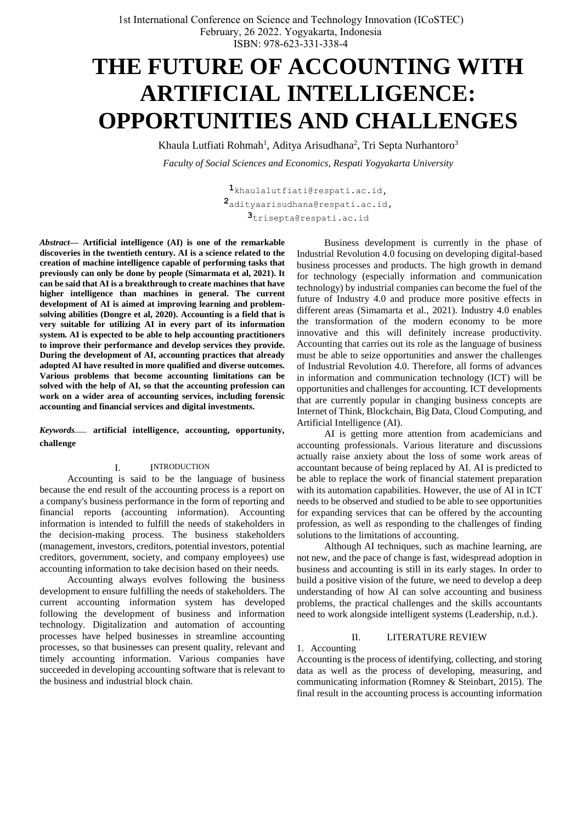# **THE FUTURE OF ACCOUNTING WITH ARTIFICIAL INTELLIGENCE: OPPORTUNITIES AND CHALLENGES**

Khaula Lutfiati Rohmah<sup>1</sup>, Aditya Arisudhana<sup>2</sup>, Tri Septa Nurhantoro<sup>3</sup> *Faculty of Social Sciences and Economics, Respati Yogyakarta University*

> **1**[khaulalutfiati@respati.ac.id](mailto:khaulalutfiati@respati.ac.id)**, 2**[adityaarisudhana@respati.ac.id](mailto:2adityaarisudhana@respati.ac.id)**, 3**trisepta@respati.ac.id

*Abstract***— Artificial intelligence (AI) is one of the remarkable discoveries in the twentieth century. AI is a science related to the creation of machine intelligence capable of performing tasks that previously can only be done by people (Simarmata et al, 2021). It can be said that AI is a breakthrough to create machines that have higher intelligence than machines in general. The current development of AI is aimed at improving learning and problemsolving abilities (Dongre et al, 2020). Accounting is a field that is very suitable for utilizing AI in every part of its information system. AI is expected to be able to help accounting practitioners to improve their performance and develop services they provide. During the development of AI, accounting practices that already adopted AI have resulted in more qualified and diverse outcomes. Various problems that become accounting limitations can be solved with the help of AI, so that the accounting profession can work on a wider area of accounting services, including forensic accounting and financial services and digital investments.**

*Keywords*— **artificial intelligence, accounting, opportunity, challenge**

#### I. INTRODUCTION

Accounting is said to be the language of business because the end result of the accounting process is a report on a company's business performance in the form of reporting and financial reports (accounting information). Accounting information is intended to fulfill the needs of stakeholders in the decision-making process. The business stakeholders (management, investors, creditors, potential investors, potential creditors, government, society, and company employees) use accounting information to take decision based on their needs.

Accounting always evolves following the business development to ensure fulfilling the needs of stakeholders. The current accounting information system has developed following the development of business and information technology. Digitalization and automation of accounting processes have helped businesses in streamline accounting processes, so that businesses can present quality, relevant and timely accounting information. Various companies have succeeded in developing accounting software that is relevant to the business and industrial block chain.

Business development is currently in the phase of Industrial Revolution 4.0 focusing on developing digital-based business processes and products. The high growth in demand for technology (especially information and communication technology) by industrial companies can become the fuel of the future of Industry 4.0 and produce more positive effects in different areas (Simamarta et al., 2021). Industry 4.0 enables the transformation of the modern economy to be more innovative and this will definitely increase productivity. Accounting that carries out its role as the language of business must be able to seize opportunities and answer the challenges of Industrial Revolution 4.0. Therefore, all forms of advances in information and communication technology (ICT) will be opportunities and challenges for accounting. ICT developments that are currently popular in changing business concepts are Internet of Think, Blockchain, Big Data, Cloud Computing, and Artificial Intelligence (AI).

AI is getting more attention from academicians and accounting professionals. Various literature and discussions actually raise anxiety about the loss of some work areas of accountant because of being replaced by AI. AI is predicted to be able to replace the work of financial statement preparation with its automation capabilities. However, the use of AI in ICT needs to be observed and studied to be able to see opportunities for expanding services that can be offered by the accounting profession, as well as responding to the challenges of finding solutions to the limitations of accounting.

Although AI techniques, such as machine learning, are not new, and the pace of change is fast, widespread adoption in business and accounting is still in its early stages. In order to build a positive vision of the future, we need to develop a deep understanding of how AI can solve accounting and business problems, the practical challenges and the skills accountants need to work alongside intelligent systems (Leadership, n.d.).

#### II. LITERATURE REVIEW

Accounting is the process of identifying, collecting, and storing data as well as the process of developing, measuring, and communicating information (Romney & Steinbart, 2015). The final result in the accounting process is accounting information

1. Accounting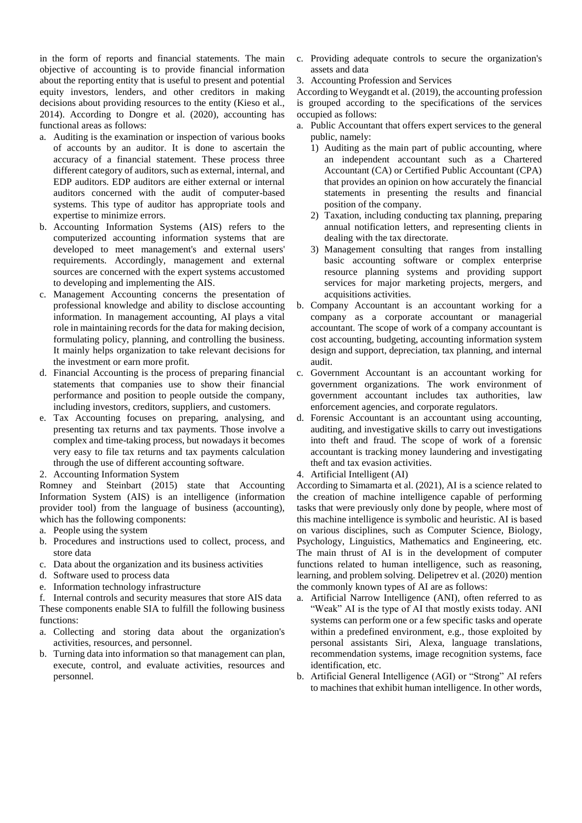in the form of reports and financial statements. The main objective of accounting is to provide financial information about the reporting entity that is useful to present and potential equity investors, lenders, and other creditors in making decisions about providing resources to the entity (Kieso et al., 2014). According to Dongre et al. (2020), accounting has functional areas as follows:

- a. Auditing is the examination or inspection of various books of accounts by an auditor. It is done to ascertain the accuracy of a financial statement. These process three different category of auditors, such as external, internal, and EDP auditors. EDP auditors are either external or internal auditors concerned with the audit of computer-based systems. This type of auditor has appropriate tools and expertise to minimize errors.
- b. Accounting Information Systems (AIS) refers to the computerized accounting information systems that are developed to meet management's and external users' requirements. Accordingly, management and external sources are concerned with the expert systems accustomed to developing and implementing the AIS.
- c. Management Accounting concerns the presentation of professional knowledge and ability to disclose accounting information. In management accounting, AI plays a vital role in maintaining records for the data for making decision, formulating policy, planning, and controlling the business. It mainly helps organization to take relevant decisions for the investment or earn more profit.
- d. Financial Accounting is the process of preparing financial statements that companies use to show their financial performance and position to people outside the company, including investors, creditors, suppliers, and customers.
- e. Tax Accounting focuses on preparing, analysing, and presenting tax returns and tax payments. Those involve a complex and time-taking process, but nowadays it becomes very easy to file tax returns and tax payments calculation through the use of different accounting software.
- 2. Accounting Information System

Romney and Steinbart (2015) state that Accounting Information System (AIS) is an intelligence (information provider tool) from the language of business (accounting), which has the following components:

- a. People using the system
- b. Procedures and instructions used to collect, process, and store data
- c. Data about the organization and its business activities
- d. Software used to process data
- e. Information technology infrastructure

f. Internal controls and security measures that store AIS data These components enable SIA to fulfill the following business functions:

- a. Collecting and storing data about the organization's activities, resources, and personnel.
- b. Turning data into information so that management can plan, execute, control, and evaluate activities, resources and personnel.
- c. Providing adequate controls to secure the organization's assets and data
- 3. Accounting Profession and Services

According to Weygandt et al. (2019), the accounting profession is grouped according to the specifications of the services occupied as follows:

- a. Public Accountant that offers expert services to the general public, namely:
	- 1) Auditing as the main part of public accounting, where an independent accountant such as a Chartered Accountant (CA) or Certified Public Accountant (CPA) that provides an opinion on how accurately the financial statements in presenting the results and financial position of the company.
	- 2) Taxation, including conducting tax planning, preparing annual notification letters, and representing clients in dealing with the tax directorate.
	- 3) Management consulting that ranges from installing basic accounting software or complex enterprise resource planning systems and providing support services for major marketing projects, mergers, and acquisitions activities.
- b. Company Accountant is an accountant working for a company as a corporate accountant or managerial accountant. The scope of work of a company accountant is cost accounting, budgeting, accounting information system design and support, depreciation, tax planning, and internal audit.
- c. Government Accountant is an accountant working for government organizations. The work environment of government accountant includes tax authorities, law enforcement agencies, and corporate regulators.
- d. Forensic Accountant is an accountant using accounting, auditing, and investigative skills to carry out investigations into theft and fraud. The scope of work of a forensic accountant is tracking money laundering and investigating theft and tax evasion activities.
- 4. Artificial Intelligent (AI)

According to Simamarta et al. (2021), AI is a science related to the creation of machine intelligence capable of performing tasks that were previously only done by people, where most of this machine intelligence is symbolic and heuristic. AI is based on various disciplines, such as Computer Science, Biology, Psychology, Linguistics, Mathematics and Engineering, etc. The main thrust of AI is in the development of computer functions related to human intelligence, such as reasoning, learning, and problem solving. Delipetrev et al. (2020) mention the commonly known types of AI are as follows:

- a. Artificial Narrow Intelligence (ANI), often referred to as "Weak" AI is the type of AI that mostly exists today. ANI systems can perform one or a few specific tasks and operate within a predefined environment, e.g., those exploited by personal assistants Siri, Alexa, language translations, recommendation systems, image recognition systems, face identification, etc.
- b. Artificial General Intelligence (AGI) or "Strong" AI refers to machines that exhibit human intelligence. In other words,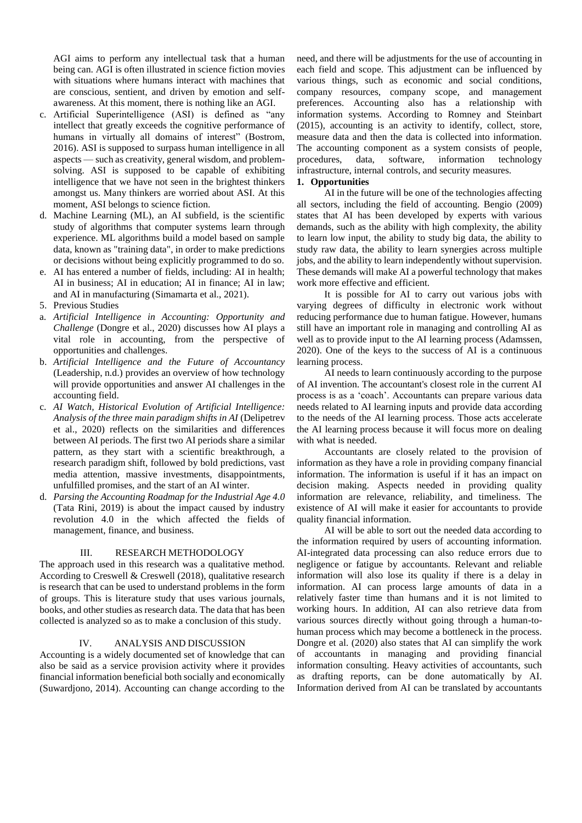AGI aims to perform any intellectual task that a human being can. AGI is often illustrated in science fiction movies with situations where humans interact with machines that are conscious, sentient, and driven by emotion and selfawareness. At this moment, there is nothing like an AGI.

- c. Artificial Superintelligence (ASI) is defined as "any intellect that greatly exceeds the cognitive performance of humans in virtually all domains of interest" (Bostrom, 2016). ASI is supposed to surpass human intelligence in all aspects — such as creativity, general wisdom, and problemsolving. ASI is supposed to be capable of exhibiting intelligence that we have not seen in the brightest thinkers amongst us. Many thinkers are worried about ASI. At this moment, ASI belongs to science fiction.
- d. Machine Learning (ML), an AI subfield, is the scientific study of algorithms that computer systems learn through experience. ML algorithms build a model based on sample data, known as "training data", in order to make predictions or decisions without being explicitly programmed to do so.
- e. AI has entered a number of fields, including: AI in health; AI in business; AI in education; AI in finance; AI in law; and AI in manufacturing (Simamarta et al., 2021).
- 5. Previous Studies
- a. *Artificial Intelligence in Accounting: Opportunity and Challenge* (Dongre et al., 2020) discusses how AI plays a vital role in accounting, from the perspective of opportunities and challenges.
- b. *Artificial Intelligence and the Future of Accountancy* (Leadership, n.d.) provides an overview of how technology will provide opportunities and answer AI challenges in the accounting field.
- c. *AI Watch, Historical Evolution of Artificial Intelligence: Analysis of the three main paradigm shifts in AI* (Delipetrev et al., 2020) reflects on the similarities and differences between AI periods. The first two AI periods share a similar pattern, as they start with a scientific breakthrough, a research paradigm shift, followed by bold predictions, vast media attention, massive investments, disappointments, unfulfilled promises, and the start of an AI winter.
- d. *Parsing the Accounting Roadmap for the Industrial Age 4.0* (Tata Rini, 2019) is about the impact caused by industry revolution 4.0 in the which affected the fields of management, finance, and business.

#### III. RESEARCH METHODOLOGY

The approach used in this research was a qualitative method. According to Creswell & Creswell (2018), qualitative research is research that can be used to understand problems in the form of groups. This is literature study that uses various journals, books, and other studies as research data. The data that has been collected is analyzed so as to make a conclusion of this study.

#### IV. ANALYSIS AND DISCUSSION

Accounting is a widely documented set of knowledge that can also be said as a service provision activity where it provides financial information beneficial both socially and economically (Suwardjono, 2014). Accounting can change according to the

need, and there will be adjustments for the use of accounting in each field and scope. This adjustment can be influenced by various things, such as economic and social conditions, company resources, company scope, and management preferences. Accounting also has a relationship with information systems. According to Romney and Steinbart (2015), accounting is an activity to identify, collect, store, measure data and then the data is collected into information. The accounting component as a system consists of people, procedures, data, software, information technology infrastructure, internal controls, and security measures.

### **1. Opportunities**

AI in the future will be one of the technologies affecting all sectors, including the field of accounting. Bengio (2009) states that AI has been developed by experts with various demands, such as the ability with high complexity, the ability to learn low input, the ability to study big data, the ability to study raw data, the ability to learn synergies across multiple jobs, and the ability to learn independently without supervision. These demands will make AI a powerful technology that makes work more effective and efficient.

It is possible for AI to carry out various jobs with varying degrees of difficulty in electronic work without reducing performance due to human fatigue. However, humans still have an important role in managing and controlling AI as well as to provide input to the AI learning process (Adamssen, 2020). One of the keys to the success of AI is a continuous learning process.

AI needs to learn continuously according to the purpose of AI invention. The accountant's closest role in the current AI process is as a 'coach'. Accountants can prepare various data needs related to AI learning inputs and provide data according to the needs of the AI learning process. Those acts accelerate the AI learning process because it will focus more on dealing with what is needed.

Accountants are closely related to the provision of information as they have a role in providing company financial information. The information is useful if it has an impact on decision making. Aspects needed in providing quality information are relevance, reliability, and timeliness. The existence of AI will make it easier for accountants to provide quality financial information.

AI will be able to sort out the needed data according to the information required by users of accounting information. AI-integrated data processing can also reduce errors due to negligence or fatigue by accountants. Relevant and reliable information will also lose its quality if there is a delay in information. AI can process large amounts of data in a relatively faster time than humans and it is not limited to working hours. In addition, AI can also retrieve data from various sources directly without going through a human-tohuman process which may become a bottleneck in the process. Dongre et al. (2020) also states that AI can simplify the work of accountants in managing and providing financial information consulting. Heavy activities of accountants, such as drafting reports, can be done automatically by AI. Information derived from AI can be translated by accountants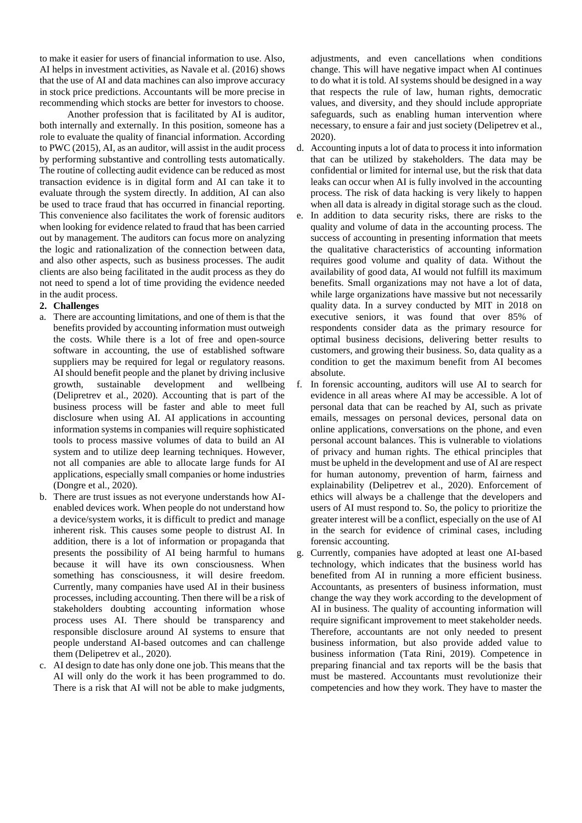to make it easier for users of financial information to use. Also, AI helps in investment activities, as Navale et al. (2016) shows that the use of AI and data machines can also improve accuracy in stock price predictions. Accountants will be more precise in recommending which stocks are better for investors to choose.

Another profession that is facilitated by AI is auditor, both internally and externally. In this position, someone has a role to evaluate the quality of financial information. According to PWC (2015), AI, as an auditor, will assist in the audit process by performing substantive and controlling tests automatically. The routine of collecting audit evidence can be reduced as most transaction evidence is in digital form and AI can take it to evaluate through the system directly. In addition, AI can also be used to trace fraud that has occurred in financial reporting. This convenience also facilitates the work of forensic auditors when looking for evidence related to fraud that has been carried out by management. The auditors can focus more on analyzing the logic and rationalization of the connection between data, and also other aspects, such as business processes. The audit clients are also being facilitated in the audit process as they do not need to spend a lot of time providing the evidence needed in the audit process.

## **2. Challenges**

- a. There are accounting limitations, and one of them is that the benefits provided by accounting information must outweigh the costs. While there is a lot of free and open-source software in accounting, the use of established software suppliers may be required for legal or regulatory reasons. AI should benefit people and the planet by driving inclusive growth, sustainable development and wellbeing (Delipretrev et al., 2020). Accounting that is part of the business process will be faster and able to meet full disclosure when using AI. AI applications in accounting information systems in companies will require sophisticated tools to process massive volumes of data to build an AI system and to utilize deep learning techniques. However, not all companies are able to allocate large funds for AI applications, especially small companies or home industries (Dongre et al., 2020).
- b. There are trust issues as not everyone understands how AIenabled devices work. When people do not understand how a device/system works, it is difficult to predict and manage inherent risk. This causes some people to distrust AI. In addition, there is a lot of information or propaganda that presents the possibility of AI being harmful to humans because it will have its own consciousness. When something has consciousness, it will desire freedom. Currently, many companies have used AI in their business processes, including accounting. Then there will be a risk of stakeholders doubting accounting information whose process uses AI. There should be transparency and responsible disclosure around AI systems to ensure that people understand AI-based outcomes and can challenge them (Delipetrev et al., 2020).
- c. AI design to date has only done one job. This means that the AI will only do the work it has been programmed to do. There is a risk that AI will not be able to make judgments,

adjustments, and even cancellations when conditions change. This will have negative impact when AI continues to do what it is told. AI systems should be designed in a way that respects the rule of law, human rights, democratic values, and diversity, and they should include appropriate safeguards, such as enabling human intervention where necessary, to ensure a fair and just society (Delipetrev et al., 2020).

- d. Accounting inputs a lot of data to process it into information that can be utilized by stakeholders. The data may be confidential or limited for internal use, but the risk that data leaks can occur when AI is fully involved in the accounting process. The risk of data hacking is very likely to happen when all data is already in digital storage such as the cloud.
- e. In addition to data security risks, there are risks to the quality and volume of data in the accounting process. The success of accounting in presenting information that meets the qualitative characteristics of accounting information requires good volume and quality of data. Without the availability of good data, AI would not fulfill its maximum benefits. Small organizations may not have a lot of data, while large organizations have massive but not necessarily quality data. In a survey conducted by MIT in 2018 on executive seniors, it was found that over 85% of respondents consider data as the primary resource for optimal business decisions, delivering better results to customers, and growing their business. So, data quality as a condition to get the maximum benefit from AI becomes absolute.
- f. In forensic accounting, auditors will use AI to search for evidence in all areas where AI may be accessible. A lot of personal data that can be reached by AI, such as private emails, messages on personal devices, personal data on online applications, conversations on the phone, and even personal account balances. This is vulnerable to violations of privacy and human rights. The ethical principles that must be upheld in the development and use of AI are respect for human autonomy, prevention of harm, fairness and explainability (Delipetrev et al., 2020). Enforcement of ethics will always be a challenge that the developers and users of AI must respond to. So, the policy to prioritize the greater interest will be a conflict, especially on the use of AI in the search for evidence of criminal cases, including forensic accounting.
- g. Currently, companies have adopted at least one AI-based technology, which indicates that the business world has benefited from AI in running a more efficient business. Accountants, as presenters of business information, must change the way they work according to the development of AI in business. The quality of accounting information will require significant improvement to meet stakeholder needs. Therefore, accountants are not only needed to present business information, but also provide added value to business information (Tata Rini, 2019). Competence in preparing financial and tax reports will be the basis that must be mastered. Accountants must revolutionize their competencies and how they work. They have to master the